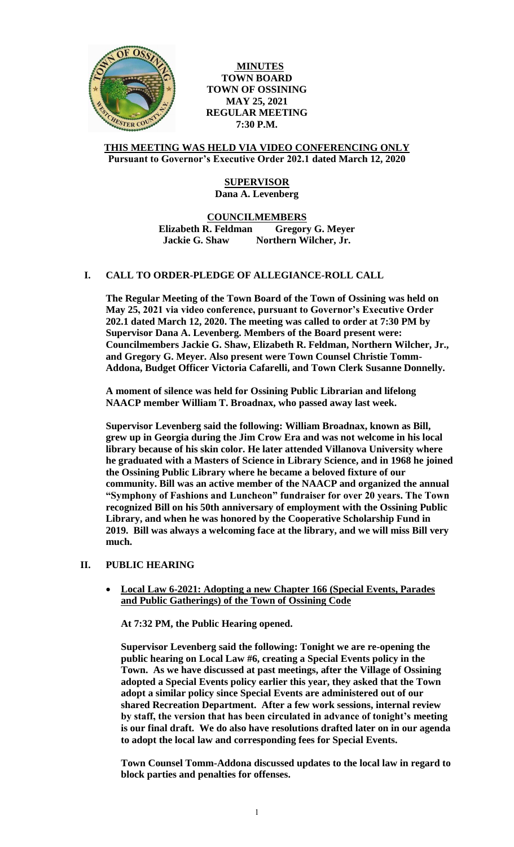

**MINUTES TOWN BOARD TOWN OF OSSINING MAY 25, 2021 REGULAR MEETING 7:30 P.M.**

### **THIS MEETING WAS HELD VIA VIDEO CONFERENCING ONLY Pursuant to Governor's Executive Order 202.1 dated March 12, 2020**

# **SUPERVISOR Dana A. Levenberg**

### **COUNCILMEMBERS Elizabeth R. Feldman Gregory G. Meyer Jackie G. Shaw Northern Wilcher, Jr.**

# **I. CALL TO ORDER-PLEDGE OF ALLEGIANCE-ROLL CALL**

**The Regular Meeting of the Town Board of the Town of Ossining was held on May 25, 2021 via video conference, pursuant to Governor's Executive Order 202.1 dated March 12, 2020. The meeting was called to order at 7:30 PM by Supervisor Dana A. Levenberg. Members of the Board present were: Councilmembers Jackie G. Shaw, Elizabeth R. Feldman, Northern Wilcher, Jr., and Gregory G. Meyer. Also present were Town Counsel Christie Tomm-Addona, Budget Officer Victoria Cafarelli, and Town Clerk Susanne Donnelly.**

**A moment of silence was held for Ossining Public Librarian and lifelong NAACP member William T. Broadnax, who passed away last week.**

**Supervisor Levenberg said the following: William Broadnax, known as Bill, grew up in Georgia during the Jim Crow Era and was not welcome in his local library because of his skin color. He later attended Villanova University where he graduated with a Masters of Science in Library Science, and in 1968 he joined the Ossining Public Library where he became a beloved fixture of our community. Bill was an active member of the NAACP and organized the annual "Symphony of Fashions and Luncheon" fundraiser for over 20 years. The Town recognized Bill on his 50th anniversary of employment with the Ossining Public Library, and when he was honored by the Cooperative Scholarship Fund in 2019. Bill was always a welcoming face at the library, and we will miss Bill very much.**

# **II. PUBLIC HEARING**

 **Local Law 6-2021: Adopting a new Chapter 166 (Special Events, Parades and Public Gatherings) of the Town of Ossining Code**

**At 7:32 PM, the Public Hearing opened.**

**Supervisor Levenberg said the following: Tonight we are re-opening the public hearing on Local Law #6, creating a Special Events policy in the Town. As we have discussed at past meetings, after the Village of Ossining adopted a Special Events policy earlier this year, they asked that the Town adopt a similar policy since Special Events are administered out of our shared Recreation Department. After a few work sessions, internal review by staff, the version that has been circulated in advance of tonight's meeting is our final draft. We do also have resolutions drafted later on in our agenda to adopt the local law and corresponding fees for Special Events.** 

**Town Counsel Tomm-Addona discussed updates to the local law in regard to block parties and penalties for offenses.**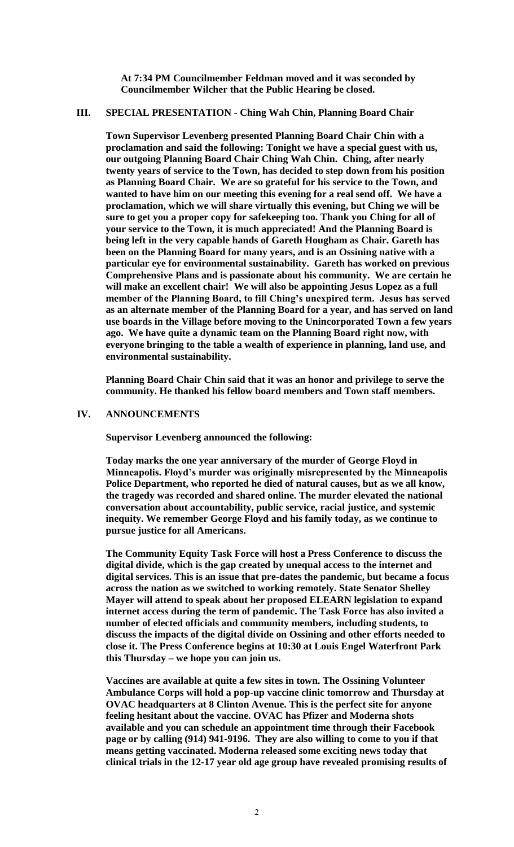**At 7:34 PM Councilmember Feldman moved and it was seconded by Councilmember Wilcher that the Public Hearing be closed.**

### **III. SPECIAL PRESENTATION - Ching Wah Chin, Planning Board Chair**

**Town Supervisor Levenberg presented Planning Board Chair Chin with a proclamation and said the following: Tonight we have a special guest with us, our outgoing Planning Board Chair Ching Wah Chin. Ching, after nearly twenty years of service to the Town, has decided to step down from his position as Planning Board Chair. We are so grateful for his service to the Town, and wanted to have him on our meeting this evening for a real send off. We have a proclamation, which we will share virtually this evening, but Ching we will be sure to get you a proper copy for safekeeping too. Thank you Ching for all of your service to the Town, it is much appreciated! And the Planning Board is being left in the very capable hands of Gareth Hougham as Chair. Gareth has been on the Planning Board for many years, and is an Ossining native with a particular eye for environmental sustainability. Gareth has worked on previous Comprehensive Plans and is passionate about his community. We are certain he will make an excellent chair! We will also be appointing Jesus Lopez as a full member of the Planning Board, to fill Ching's unexpired term. Jesus has served as an alternate member of the Planning Board for a year, and has served on land use boards in the Village before moving to the Unincorporated Town a few years ago. We have quite a dynamic team on the Planning Board right now, with everyone bringing to the table a wealth of experience in planning, land use, and environmental sustainability.**

**Planning Board Chair Chin said that it was an honor and privilege to serve the community. He thanked his fellow board members and Town staff members.** 

### **IV. ANNOUNCEMENTS**

**Supervisor Levenberg announced the following:**

**Today marks the one year anniversary of the murder of George Floyd in Minneapolis. Floyd's murder was originally misrepresented by the Minneapolis Police Department, who reported he died of natural causes, but as we all know, the tragedy was recorded and shared online. The murder elevated the national conversation about accountability, public service, racial justice, and systemic inequity. We remember George Floyd and his family today, as we continue to pursue justice for all Americans.** 

**The Community Equity Task Force will host a Press Conference to discuss the digital divide, which is the gap created by unequal access to the internet and digital services. This is an issue that pre-dates the pandemic, but became a focus across the nation as we switched to working remotely. State Senator Shelley Mayer will attend to speak about her proposed ELEARN legislation to expand internet access during the term of pandemic. The Task Force has also invited a number of elected officials and community members, including students, to discuss the impacts of the digital divide on Ossining and other efforts needed to close it. The Press Conference begins at 10:30 at Louis Engel Waterfront Park this Thursday – we hope you can join us.** 

**Vaccines are available at quite a few sites in town. The Ossining Volunteer Ambulance Corps will hold a pop-up vaccine clinic tomorrow and Thursday at OVAC headquarters at 8 Clinton Avenue. This is the perfect site for anyone feeling hesitant about the vaccine. OVAC has Pfizer and Moderna shots available and you can schedule an appointment time through their Facebook page or by calling (914) 941-9196. They are also willing to come to you if that means getting vaccinated. Moderna released some exciting news today that clinical trials in the 12-17 year old age group have revealed promising results of**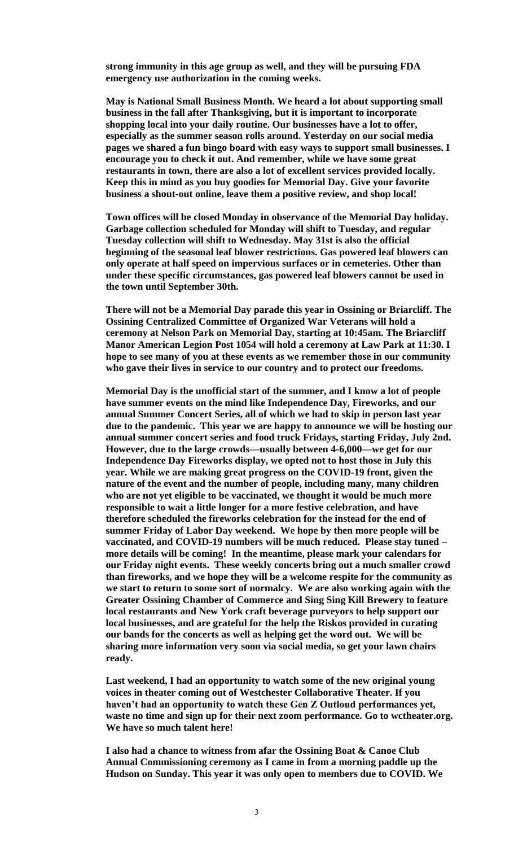**strong immunity in this age group as well, and they will be pursuing FDA emergency use authorization in the coming weeks.** 

**May is National Small Business Month. We heard a lot about supporting small business in the fall after Thanksgiving, but it is important to incorporate shopping local into your daily routine. Our businesses have a lot to offer, especially as the summer season rolls around. Yesterday on our social media pages we shared a fun bingo board with easy ways to support small businesses. I encourage you to check it out. And remember, while we have some great restaurants in town, there are also a lot of excellent services provided locally. Keep this in mind as you buy goodies for Memorial Day. Give your favorite business a shout-out online, leave them a positive review, and shop local!** 

**Town offices will be closed Monday in observance of the Memorial Day holiday. Garbage collection scheduled for Monday will shift to Tuesday, and regular Tuesday collection will shift to Wednesday. May 31st is also the official beginning of the seasonal leaf blower restrictions. Gas powered leaf blowers can only operate at half speed on impervious surfaces or in cemeteries. Other than under these specific circumstances, gas powered leaf blowers cannot be used in the town until September 30th.** 

**There will not be a Memorial Day parade this year in Ossining or Briarcliff. The Ossining Centralized Committee of Organized War Veterans will hold a ceremony at Nelson Park on Memorial Day, starting at 10:45am. The Briarcliff Manor American Legion Post 1054 will hold a ceremony at Law Park at 11:30. I hope to see many of you at these events as we remember those in our community who gave their lives in service to our country and to protect our freedoms.** 

**Memorial Day is the unofficial start of the summer, and I know a lot of people have summer events on the mind like Independence Day, Fireworks, and our annual Summer Concert Series, all of which we had to skip in person last year due to the pandemic. This year we are happy to announce we will be hosting our annual summer concert series and food truck Fridays, starting Friday, July 2nd. However, due to the large crowds—usually between 4-6,000—we get for our Independence Day Fireworks display, we opted not to host those in July this year. While we are making great progress on the COVID-19 front, given the nature of the event and the number of people, including many, many children who are not yet eligible to be vaccinated, we thought it would be much more responsible to wait a little longer for a more festive celebration, and have therefore scheduled the fireworks celebration for the instead for the end of summer Friday of Labor Day weekend. We hope by then more people will be vaccinated, and COVID-19 numbers will be much reduced. Please stay tuned – more details will be coming! In the meantime, please mark your calendars for our Friday night events. These weekly concerts bring out a much smaller crowd than fireworks, and we hope they will be a welcome respite for the community as we start to return to some sort of normalcy. We are also working again with the Greater Ossining Chamber of Commerce and Sing Sing Kill Brewery to feature local restaurants and New York craft beverage purveyors to help support our local businesses, and are grateful for the help the Riskos provided in curating our bands for the concerts as well as helping get the word out. We will be sharing more information very soon via social media, so get your lawn chairs ready.** 

**Last weekend, I had an opportunity to watch some of the new original young voices in theater coming out of Westchester Collaborative Theater. If you haven't had an opportunity to watch these Gen Z Outloud performances yet, waste no time and sign up for their next zoom performance. Go to wctheater.org. We have so much talent here!**

**I also had a chance to witness from afar the Ossining Boat & Canoe Club Annual Commissioning ceremony as I came in from a morning paddle up the Hudson on Sunday. This year it was only open to members due to COVID. We**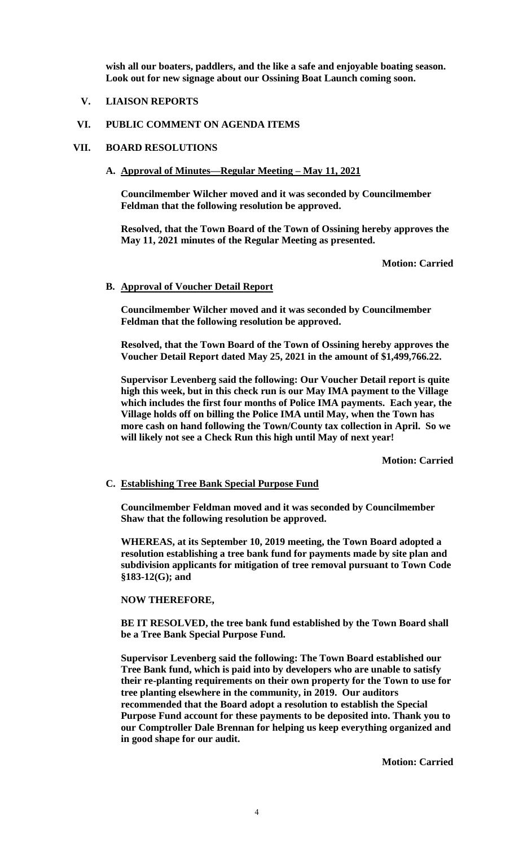**wish all our boaters, paddlers, and the like a safe and enjoyable boating season. Look out for new signage about our Ossining Boat Launch coming soon.**

# **V. LIAISON REPORTS**

# **VI. PUBLIC COMMENT ON AGENDA ITEMS**

### **VII. BOARD RESOLUTIONS**

### **A. Approval of Minutes—Regular Meeting – May 11, 2021**

**Councilmember Wilcher moved and it was seconded by Councilmember Feldman that the following resolution be approved.**

**Resolved, that the Town Board of the Town of Ossining hereby approves the May 11, 2021 minutes of the Regular Meeting as presented.**

**Motion: Carried**

#### **B. Approval of Voucher Detail Report**

**Councilmember Wilcher moved and it was seconded by Councilmember Feldman that the following resolution be approved.**

**Resolved, that the Town Board of the Town of Ossining hereby approves the Voucher Detail Report dated May 25, 2021 in the amount of \$1,499,766.22.**

**Supervisor Levenberg said the following: Our Voucher Detail report is quite high this week, but in this check run is our May IMA payment to the Village which includes the first four months of Police IMA payments. Each year, the Village holds off on billing the Police IMA until May, when the Town has more cash on hand following the Town/County tax collection in April. So we will likely not see a Check Run this high until May of next year!**

**Motion: Carried**

#### **C. Establishing Tree Bank Special Purpose Fund**

**Councilmember Feldman moved and it was seconded by Councilmember Shaw that the following resolution be approved.** 

**WHEREAS, at its September 10, 2019 meeting, the Town Board adopted a resolution establishing a tree bank fund for payments made by site plan and subdivision applicants for mitigation of tree removal pursuant to Town Code §183-12(G); and**

### **NOW THEREFORE,**

**BE IT RESOLVED, the tree bank fund established by the Town Board shall be a Tree Bank Special Purpose Fund.**

**Supervisor Levenberg said the following: The Town Board established our Tree Bank fund, which is paid into by developers who are unable to satisfy their re-planting requirements on their own property for the Town to use for tree planting elsewhere in the community, in 2019. Our auditors recommended that the Board adopt a resolution to establish the Special Purpose Fund account for these payments to be deposited into. Thank you to our Comptroller Dale Brennan for helping us keep everything organized and in good shape for our audit.**

**Motion: Carried**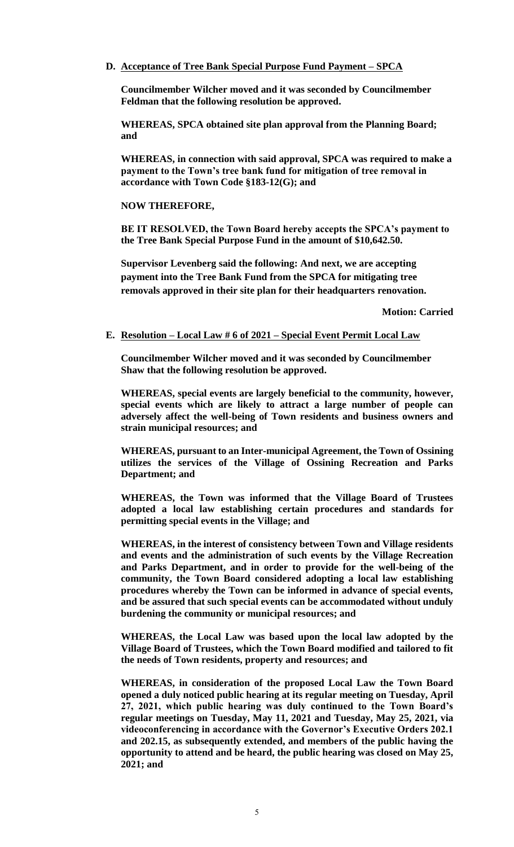**D. Acceptance of Tree Bank Special Purpose Fund Payment – SPCA**

**Councilmember Wilcher moved and it was seconded by Councilmember Feldman that the following resolution be approved.**

**WHEREAS, SPCA obtained site plan approval from the Planning Board; and**

**WHEREAS, in connection with said approval, SPCA was required to make a payment to the Town's tree bank fund for mitigation of tree removal in accordance with Town Code §183-12(G); and**

### **NOW THEREFORE,**

**BE IT RESOLVED, the Town Board hereby accepts the SPCA's payment to the Tree Bank Special Purpose Fund in the amount of \$10,642.50.**

**Supervisor Levenberg said the following: And next, we are accepting payment into the Tree Bank Fund from the SPCA for mitigating tree removals approved in their site plan for their headquarters renovation.**

**Motion: Carried**

#### **E. Resolution – Local Law # 6 of 2021 – Special Event Permit Local Law**

**Councilmember Wilcher moved and it was seconded by Councilmember Shaw that the following resolution be approved.** 

**WHEREAS, special events are largely beneficial to the community, however, special events which are likely to attract a large number of people can adversely affect the well-being of Town residents and business owners and strain municipal resources; and**

**WHEREAS, pursuant to an Inter-municipal Agreement, the Town of Ossining utilizes the services of the Village of Ossining Recreation and Parks Department; and**

**WHEREAS, the Town was informed that the Village Board of Trustees adopted a local law establishing certain procedures and standards for permitting special events in the Village; and**

**WHEREAS, in the interest of consistency between Town and Village residents and events and the administration of such events by the Village Recreation and Parks Department, and in order to provide for the well-being of the community, the Town Board considered adopting a local law establishing procedures whereby the Town can be informed in advance of special events, and be assured that such special events can be accommodated without unduly burdening the community or municipal resources; and**

**WHEREAS, the Local Law was based upon the local law adopted by the Village Board of Trustees, which the Town Board modified and tailored to fit the needs of Town residents, property and resources; and**

**WHEREAS, in consideration of the proposed Local Law the Town Board opened a duly noticed public hearing at its regular meeting on Tuesday, April 27, 2021, which public hearing was duly continued to the Town Board's regular meetings on Tuesday, May 11, 2021 and Tuesday, May 25, 2021, via videoconferencing in accordance with the Governor's Executive Orders 202.1 and 202.15, as subsequently extended, and members of the public having the opportunity to attend and be heard, the public hearing was closed on May 25, 2021; and**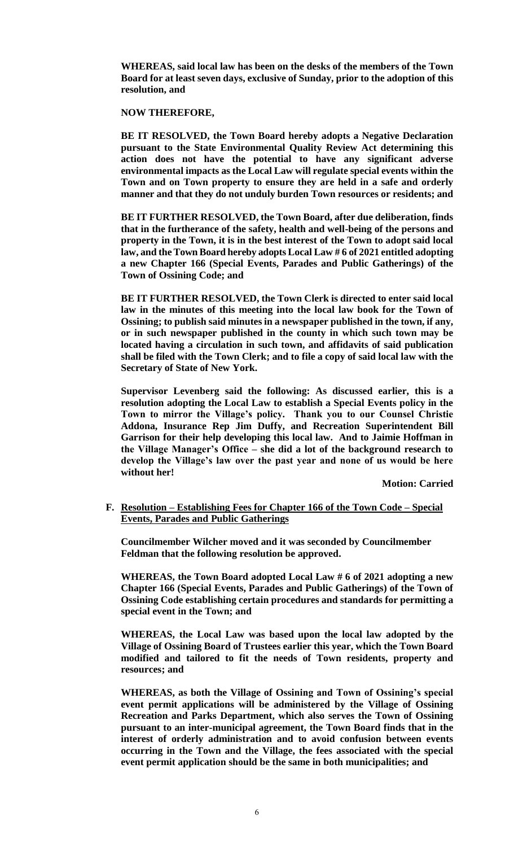**WHEREAS, said local law has been on the desks of the members of the Town Board for at least seven days, exclusive of Sunday, prior to the adoption of this resolution, and**

**NOW THEREFORE,**

**BE IT RESOLVED, the Town Board hereby adopts a Negative Declaration pursuant to the State Environmental Quality Review Act determining this action does not have the potential to have any significant adverse environmental impacts as the Local Law will regulate special events within the Town and on Town property to ensure they are held in a safe and orderly manner and that they do not unduly burden Town resources or residents; and**

**BE IT FURTHER RESOLVED, the Town Board, after due deliberation, finds that in the furtherance of the safety, health and well-being of the persons and property in the Town, it is in the best interest of the Town to adopt said local law, and the Town Board hereby adopts Local Law # 6 of 2021 entitled adopting a new Chapter 166 (Special Events, Parades and Public Gatherings) of the Town of Ossining Code; and** 

**BE IT FURTHER RESOLVED, the Town Clerk is directed to enter said local law in the minutes of this meeting into the local law book for the Town of Ossining; to publish said minutes in a newspaper published in the town, if any, or in such newspaper published in the county in which such town may be located having a circulation in such town, and affidavits of said publication shall be filed with the Town Clerk; and to file a copy of said local law with the Secretary of State of New York.**

**Supervisor Levenberg said the following: As discussed earlier, this is a resolution adopting the Local Law to establish a Special Events policy in the Town to mirror the Village's policy. Thank you to our Counsel Christie Addona, Insurance Rep Jim Duffy, and Recreation Superintendent Bill Garrison for their help developing this local law. And to Jaimie Hoffman in the Village Manager's Office – she did a lot of the background research to develop the Village's law over the past year and none of us would be here without her!**

**Motion: Carried**

**F. Resolution – Establishing Fees for Chapter 166 of the Town Code – Special Events, Parades and Public Gatherings**

**Councilmember Wilcher moved and it was seconded by Councilmember Feldman that the following resolution be approved.**

**WHEREAS, the Town Board adopted Local Law # 6 of 2021 adopting a new Chapter 166 (Special Events, Parades and Public Gatherings) of the Town of Ossining Code establishing certain procedures and standards for permitting a special event in the Town; and**

**WHEREAS, the Local Law was based upon the local law adopted by the Village of Ossining Board of Trustees earlier this year, which the Town Board modified and tailored to fit the needs of Town residents, property and resources; and**

**WHEREAS, as both the Village of Ossining and Town of Ossining's special event permit applications will be administered by the Village of Ossining Recreation and Parks Department, which also serves the Town of Ossining pursuant to an inter-municipal agreement, the Town Board finds that in the interest of orderly administration and to avoid confusion between events occurring in the Town and the Village, the fees associated with the special event permit application should be the same in both municipalities; and**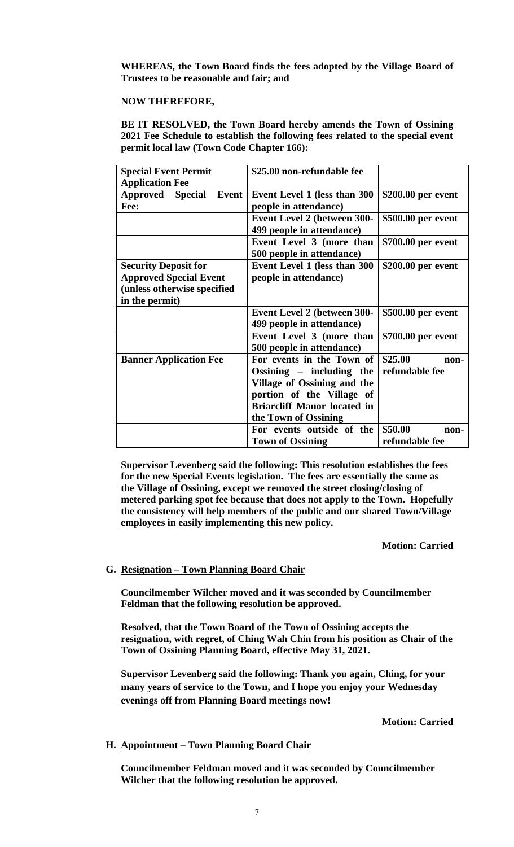**WHEREAS, the Town Board finds the fees adopted by the Village Board of Trustees to be reasonable and fair; and**

### **NOW THEREFORE,**

**BE IT RESOLVED, the Town Board hereby amends the Town of Ossining 2021 Fee Schedule to establish the following fees related to the special event permit local law (Town Code Chapter 166):**

| <b>Special Event Permit</b>   | \$25.00 non-refundable fee         |                    |
|-------------------------------|------------------------------------|--------------------|
| <b>Application Fee</b>        |                                    |                    |
| <b>Approved Special Event</b> | Event Level 1 (less than 300       | \$200.00 per event |
| Fee:                          | people in attendance)              |                    |
|                               | <b>Event Level 2 (between 300-</b> | \$500.00 per event |
|                               | 499 people in attendance)          |                    |
|                               | Event Level 3 (more than           | \$700.00 per event |
|                               | 500 people in attendance)          |                    |
| <b>Security Deposit for</b>   | Event Level 1 (less than 300       | \$200.00 per event |
| <b>Approved Special Event</b> | people in attendance)              |                    |
| (unless otherwise specified   |                                    |                    |
| in the permit)                |                                    |                    |
|                               | <b>Event Level 2 (between 300-</b> | \$500.00 per event |
|                               | 499 people in attendance)          |                    |
|                               | Event Level 3 (more than           | \$700.00 per event |
|                               | 500 people in attendance)          |                    |
| <b>Banner Application Fee</b> | For events in the Town of          | \$25.00<br>non-    |
|                               | Ossining $-$ including the         | refundable fee     |
|                               | Village of Ossining and the        |                    |
|                               | portion of the Village of          |                    |
|                               | <b>Briarcliff Manor located in</b> |                    |
|                               | the Town of Ossining               |                    |
|                               | For events outside of the          | \$50.00<br>non-    |
|                               | <b>Town of Ossining</b>            | refundable fee     |

**Supervisor Levenberg said the following: This resolution establishes the fees for the new Special Events legislation. The fees are essentially the same as the Village of Ossining, except we removed the street closing/closing of metered parking spot fee because that does not apply to the Town. Hopefully the consistency will help members of the public and our shared Town/Village employees in easily implementing this new policy.**

**Motion: Carried**

# **G. Resignation – Town Planning Board Chair**

**Councilmember Wilcher moved and it was seconded by Councilmember Feldman that the following resolution be approved.**

**Resolved, that the Town Board of the Town of Ossining accepts the resignation, with regret, of Ching Wah Chin from his position as Chair of the Town of Ossining Planning Board, effective May 31, 2021.** 

**Supervisor Levenberg said the following: Thank you again, Ching, for your many years of service to the Town, and I hope you enjoy your Wednesday evenings off from Planning Board meetings now!**

**Motion: Carried**

# **H. Appointment – Town Planning Board Chair**

**Councilmember Feldman moved and it was seconded by Councilmember Wilcher that the following resolution be approved.**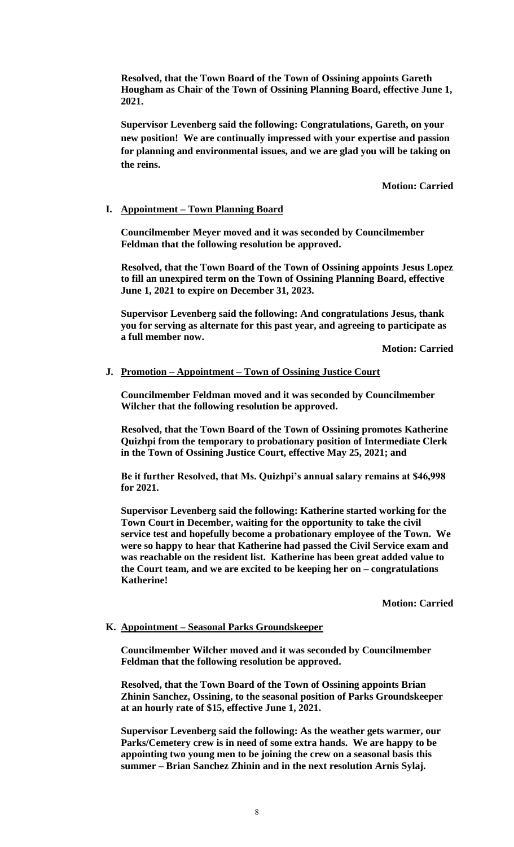**Resolved, that the Town Board of the Town of Ossining appoints Gareth Hougham as Chair of the Town of Ossining Planning Board, effective June 1, 2021.** 

**Supervisor Levenberg said the following: Congratulations, Gareth, on your new position! We are continually impressed with your expertise and passion for planning and environmental issues, and we are glad you will be taking on the reins.**

**Motion: Carried**

# **I. Appointment – Town Planning Board**

**Councilmember Meyer moved and it was seconded by Councilmember Feldman that the following resolution be approved.**

**Resolved, that the Town Board of the Town of Ossining appoints Jesus Lopez to fill an unexpired term on the Town of Ossining Planning Board, effective June 1, 2021 to expire on December 31, 2023.** 

**Supervisor Levenberg said the following: And congratulations Jesus, thank you for serving as alternate for this past year, and agreeing to participate as a full member now.** 

**Motion: Carried**

# **J. Promotion – Appointment – Town of Ossining Justice Court**

**Councilmember Feldman moved and it was seconded by Councilmember Wilcher that the following resolution be approved.**

**Resolved, that the Town Board of the Town of Ossining promotes Katherine Quizhpi from the temporary to probationary position of Intermediate Clerk in the Town of Ossining Justice Court, effective May 25, 2021; and**

**Be it further Resolved, that Ms. Quizhpi's annual salary remains at \$46,998 for 2021.** 

**Supervisor Levenberg said the following: Katherine started working for the Town Court in December, waiting for the opportunity to take the civil service test and hopefully become a probationary employee of the Town. We were so happy to hear that Katherine had passed the Civil Service exam and was reachable on the resident list. Katherine has been great added value to the Court team, and we are excited to be keeping her on – congratulations Katherine!**

**Motion: Carried**

# **K. Appointment – Seasonal Parks Groundskeeper**

**Councilmember Wilcher moved and it was seconded by Councilmember Feldman that the following resolution be approved.**

**Resolved, that the Town Board of the Town of Ossining appoints Brian Zhinin Sanchez, Ossining, to the seasonal position of Parks Groundskeeper at an hourly rate of \$15, effective June 1, 2021.**

**Supervisor Levenberg said the following: As the weather gets warmer, our Parks/Cemetery crew is in need of some extra hands. We are happy to be appointing two young men to be joining the crew on a seasonal basis this summer – Brian Sanchez Zhinin and in the next resolution Arnis Sylaj.**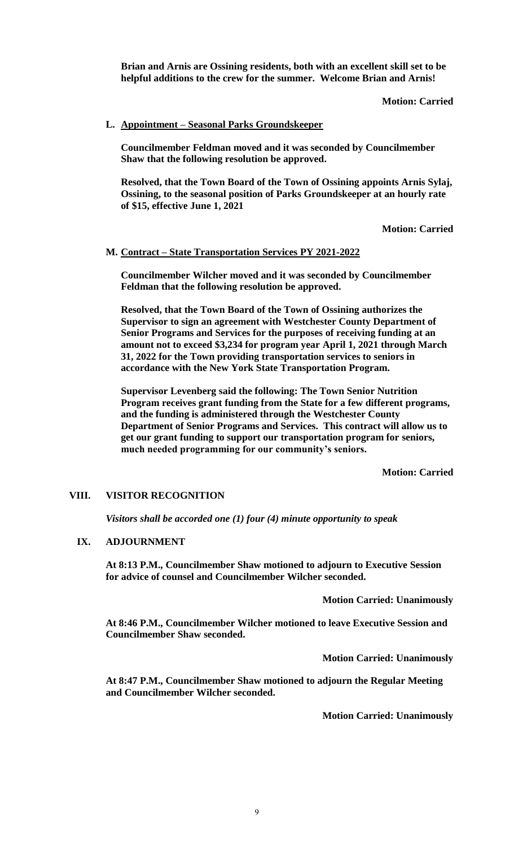**Brian and Arnis are Ossining residents, both with an excellent skill set to be helpful additions to the crew for the summer. Welcome Brian and Arnis!**

# **Motion: Carried**

### **L. Appointment – Seasonal Parks Groundskeeper**

**Councilmember Feldman moved and it was seconded by Councilmember Shaw that the following resolution be approved.**

**Resolved, that the Town Board of the Town of Ossining appoints Arnis Sylaj, Ossining, to the seasonal position of Parks Groundskeeper at an hourly rate of \$15, effective June 1, 2021**

**Motion: Carried**

### **M. Contract – State Transportation Services PY 2021-2022**

**Councilmember Wilcher moved and it was seconded by Councilmember Feldman that the following resolution be approved.**

**Resolved, that the Town Board of the Town of Ossining authorizes the Supervisor to sign an agreement with Westchester County Department of Senior Programs and Services for the purposes of receiving funding at an amount not to exceed \$3,234 for program year April 1, 2021 through March 31, 2022 for the Town providing transportation services to seniors in accordance with the New York State Transportation Program.** 

**Supervisor Levenberg said the following: The Town Senior Nutrition Program receives grant funding from the State for a few different programs, and the funding is administered through the Westchester County Department of Senior Programs and Services. This contract will allow us to get our grant funding to support our transportation program for seniors, much needed programming for our community's seniors.**

**Motion: Carried**

# **VIII. VISITOR RECOGNITION**

*Visitors shall be accorded one (1) four (4) minute opportunity to speak*

#### **IX. ADJOURNMENT**

**At 8:13 P.M., Councilmember Shaw motioned to adjourn to Executive Session for advice of counsel and Councilmember Wilcher seconded.** 

**Motion Carried: Unanimously**

**At 8:46 P.M., Councilmember Wilcher motioned to leave Executive Session and Councilmember Shaw seconded.**

**Motion Carried: Unanimously**

**At 8:47 P.M., Councilmember Shaw motioned to adjourn the Regular Meeting and Councilmember Wilcher seconded.** 

**Motion Carried: Unanimously**